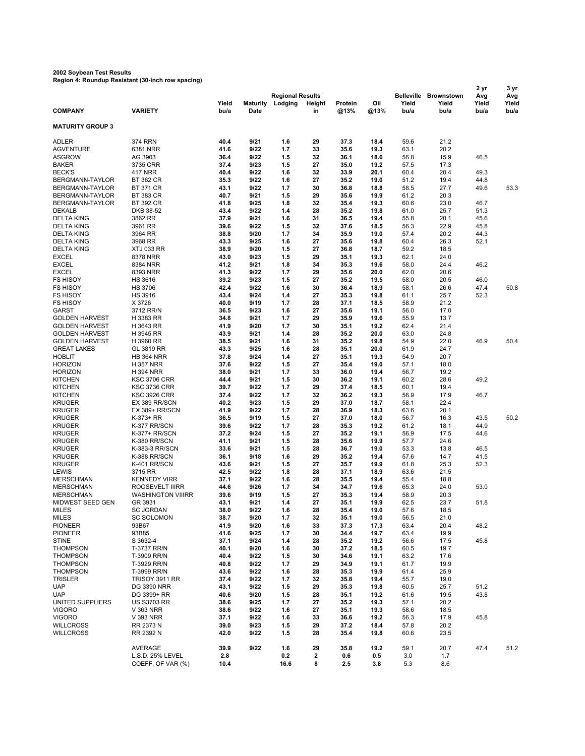## **2002 Soybean Test Results Region 4: Roundup Resistant (30-inch row spacing)**

|                         |                          |       |                 |                         |        |         |      |                   | 2 yr       | 3 yr  |       |
|-------------------------|--------------------------|-------|-----------------|-------------------------|--------|---------|------|-------------------|------------|-------|-------|
|                         |                          |       |                 | <b>Regional Results</b> |        |         |      | <b>Belleville</b> | Brownstown | Avg   | Avg   |
|                         |                          | Yield | <b>Maturity</b> | Lodging                 | Height | Protein | Oil  | Yield             | Yield      | Yield | Yield |
| <b>COMPANY</b>          | <b>VARIETY</b>           | bu/a  | Date            |                         | in     | @13%    | @13% | bu/a              | bu/a       | bu/a  | bu/a  |
|                         |                          |       |                 |                         |        |         |      |                   |            |       |       |
| <b>MATURITY GROUP 3</b> |                          |       |                 |                         |        |         |      |                   |            |       |       |
|                         |                          |       |                 |                         |        |         |      |                   |            |       |       |
| ADLER                   | <b>374 RRN</b>           | 40.4  | 9/21            | 1.6                     | 29     | 37.3    | 18.4 | 59.6              | 21.2       |       |       |
| <b>AGVENTURE</b>        | 6381 NRR                 | 41.6  | 9/22            | 1.7                     | 33     | 35.6    | 19.3 | 63.1              | 20.2       |       |       |
| <b>ASGROW</b>           | AG 3903                  | 36.4  | 9/22            | 1.5                     | 32     | 36.1    | 18.6 | 56.8              | 15.9       | 46.5  |       |
| <b>BAKER</b>            | 3735 CRR                 | 37.4  | 9/23            | 1.5                     | 27     | 35.0    | 19.2 | 57.5              | 17.3       |       |       |
| <b>BECK'S</b>           | 417 NRR                  | 40.4  | 9/22            | 1.6                     | 32     | 33.9    | 20.1 | 60.4              | 20.4       | 49.3  |       |
| BERGMANN-TAYLOR         | <b>BT 362 CR</b>         | 35.3  | 9/22            | 1.6                     | 27     | 35.2    | 19.0 | 51.2              | 19.4       | 44.8  |       |
| BERGMANN-TAYLOR         | <b>BT 371 CR</b>         | 43.1  | 9/22            | 1.7                     | 30     | 36.8    | 18.8 | 58.5              | 27.7       | 49.6  | 53.3  |
| BERGMANN-TAYLOR         | <b>BT 383 CR</b>         | 40.7  | 9/21            | 1.5                     | 29     | 35.6    | 19.9 | 61.2              | 20.3       |       |       |
| BERGMANN-TAYLOR         | <b>BT 392 CR</b>         | 41.8  | 9/25            | 1.8                     | 32     | 35.4    | 19.3 | 60.6              | 23.0       | 46.7  |       |
| <b>DEKALB</b>           | DKB 38-52                | 43.4  | 9/22            | 1.4                     | 28     | 35.2    | 19.8 | 61.0              | 25.7       | 51.3  |       |
| <b>DELTA KING</b>       | 3862 RR                  | 37.9  | 9/21            | 1.6                     | 31     | 36.5    | 19.4 | 55.8              | 20.1       | 45.6  |       |
| <b>DELTA KING</b>       | 3961 RR                  | 39.6  | 9/22            | 1.5                     | 32     | 37.6    | 18.5 | 56.3              | 22.9       | 45.8  |       |
| <b>DELTA KING</b>       | 3964 RR                  | 38.8  | 9/20            | 1.7                     | 34     | 35.9    | 19.0 | 57.4              | 20.2       | 44.3  |       |
|                         |                          |       |                 |                         |        |         |      |                   |            |       |       |
| <b>DELTA KING</b>       | 3968 RR                  | 43.3  | 9/25            | 1.6                     | 27     | 35.6    | 19.8 | 60.4              | 26.3       | 52.1  |       |
| <b>DELTA KING</b>       | <b>XTJ 033 RR</b>        | 38.9  | 9/20            | 1.5                     | 27     | 36.8    | 18.7 | 59.2              | 18.5       |       |       |
| <b>EXCEL</b>            | 8378 NRR                 | 43.0  | 9/23            | 1.5                     | 29     | 35.1    | 19.3 | 62.1              | 24.0       |       |       |
| <b>EXCEL</b>            | 8384 NRR                 | 41.2  | 9/21            | 1.8                     | 34     | 35.3    | 19.6 | 58.0              | 24.4       | 46.2  |       |
| <b>EXCEL</b>            | 8393 NRR                 | 41.3  | 9/22            | 1.7                     | 29     | 35.6    | 20.0 | 62.0              | 20.6       |       |       |
| <b>FS HISOY</b>         | <b>HS 3616</b>           | 39.2  | 9/23            | 1.5                     | 27     | 35.2    | 19.5 | 58.0              | 20.5       | 46.0  |       |
| <b>FS HISOY</b>         | <b>HS 3706</b>           | 42.4  | 9/22            | 1.6                     | 30     | 36.4    | 18.9 | 58.1              | 26.6       | 47.4  | 50.8  |
| <b>FS HISOY</b>         | <b>HS 3916</b>           | 43.4  | 9/24            | 1.4                     | 27     | 35.3    | 19.8 | 61.1              | 25.7       | 52.3  |       |
| <b>FS HISOY</b>         | X 3726                   | 40.0  | 9/19            | 1.7                     | 28     | 37.1    | 18.5 | 58.9              | 21.2       |       |       |
| <b>GARST</b>            | 3712 RR/N                | 36.5  | 9/23            | 1.6                     | 27     | 35.6    | 19.1 | 56.0              | 17.0       |       |       |
| <b>GOLDEN HARVEST</b>   | H 3383 RR                | 34.8  | 9/21            | 1.7                     | 29     | 35.9    | 19.6 | 55.9              | 13.7       |       |       |
| <b>GOLDEN HARVEST</b>   | H 3643 RR                | 41.9  | 9/20            | 1.7                     | 30     | 35.1    | 19.2 | 62.4              | 21.4       |       |       |
| <b>GOLDEN HARVEST</b>   | H 3945 RR                | 43.9  | 9/21            | 1.4                     | 28     | 35.2    | 20.0 | 63.0              | 24.8       |       |       |
|                         |                          |       |                 |                         |        |         |      |                   |            |       |       |
| <b>GOLDEN HARVEST</b>   | H 3960 RR                | 38.5  | 9/21            | 1.6                     | 31     | 35.2    | 19.8 | 54.9              | 22.0       | 46.9  | 50.4  |
| <b>GREAT LAKES</b>      | GL 3819 RR               | 43.3  | 9/25            | 1.6                     | 28     | 35.1    | 20.0 | 61.9              | 24.7       |       |       |
| <b>HOBLIT</b>           | <b>HB 364 NRR</b>        | 37.8  | 9/24            | 1.4                     | 27     | 35.1    | 19.3 | 54.9              | 20.7       |       |       |
| <b>HORIZON</b>          | <b>H357 NRR</b>          | 37.6  | 9/22            | 1.5                     | 27     | 35.4    | 19.0 | 57.1              | 18.0       |       |       |
| <b>HORIZON</b>          | <b>H394 NRR</b>          | 38.0  | 9/21            | 1.7                     | 33     | 36.0    | 19.4 | 56.7              | 19.2       |       |       |
| <b>KITCHEN</b>          | <b>KSC 3706 CRR</b>      | 44.4  | 9/21            | 1.5                     | 30     | 36.2    | 19.1 | 60.2              | 28.6       | 49.2  |       |
| <b>KITCHEN</b>          | <b>KSC 3736 CRR</b>      | 39.7  | 9/22            | 1.7                     | 29     | 37.4    | 18.5 | 60.1              | 19.4       |       |       |
| <b>KITCHEN</b>          | KSC 3926 CRR             | 37.4  | 9/22            | 1.7                     | 32     | 36.2    | 19.3 | 56.9              | 17.9       | 46.7  |       |
| <b>KRUGER</b>           | EX 389 RR/SCN            | 40.2  | 9/23            | 1.5                     | 29     | 37.0    | 18.7 | 58.1              | 22.4       |       |       |
| <b>KRUGER</b>           | EX 389+ RR/SCN           | 41.9  | 9/22            | 1.7                     | 28     | 36.9    | 18.3 | 63.6              | 20.1       |       |       |
| <b>KRUGER</b>           | K-373+ RR                | 36.5  | 9/19            | 1.5                     | 27     | 37.0    | 18.0 | 56.7              | 16.3       | 43.5  | 50.2  |
| <b>KRUGER</b>           | K-377 RR/SCN             | 39.6  | 9/22            | 1.7                     | 28     | 35.3    | 19.2 | 61.2              | 18.1       | 44.9  |       |
| <b>KRUGER</b>           | K-377+ RR/SCN            | 37.2  | 9/24            | 1.5                     | 27     | 35.2    | 19.1 | 56.9              | 17.5       | 44.6  |       |
|                         |                          | 41.1  | 9/21            | 1.5                     | 28     | 35.6    | 19.9 | 57.7              | 24.6       |       |       |
| <b>KRUGER</b>           | K-380 RR/SCN             |       |                 |                         |        |         |      |                   |            |       |       |
| <b>KRUGER</b>           | K-383-3 RR/SCN           | 33.6  | 9/21            | 1.5                     | 28     | 36.7    | 19.0 | 53.3              | 13.8       | 46.5  |       |
| <b>KRUGER</b>           | K-388 RR/SCN             | 36.1  | 9/18            | 1.6                     | 29     | 35.2    | 19.4 | 57.6              | 14.7       | 41.5  |       |
| <b>KRUGER</b>           | K-401 RR/SCN             | 43.6  | 9/21            | 1.5                     | 27     | 35.7    | 19.9 | 61.8              | 25.3       | 52.3  |       |
| LEWIS                   | 3715 RR                  | 42.5  | 9/22            | 1.8                     | 28     | 37.1    | 18.9 | 63.6              | 21.5       |       |       |
| <b>MERSCHMAN</b>        | <b>KENNEDY VIRR</b>      | 37.1  | 9/22            | 1.6                     | 28     | 35.5    | 19.4 | 55.4              | 18.8       |       |       |
| <b>MERSCHMAN</b>        | ROOSEVELT IIIRR          | 44.6  | 9/26            | 1.7                     | 34     | 34.7    | 19.6 | 65.3              | 24.0       | 53.0  |       |
| <b>MERSCHMAN</b>        | <b>WASHINGTON VIIIRR</b> | 39.6  | 9/19            | 1.5                     | 27     | 35.3    | 19.4 | 58.9              | 20.3       |       |       |
| MIDWEST SEED GEN        | GR 3931                  | 43.1  | 9/21            | 1.4                     | 27     | 35.1    | 19.9 | 62.5              | 23.7       | 51.8  |       |
| <b>MILES</b>            | SC JORDAN                | 38.0  | 9/22            | 1.6                     | 28     | 35.4    | 19.0 | 57.6              | 18.5       |       |       |
| <b>MILES</b>            | <b>SC SOLOMON</b>        | 38.7  | 9/20            | 1.7                     | 32     | 35.1    | 19.0 | 56.5              | 21.0       |       |       |
| <b>PIONEER</b>          | 93B67                    | 41.9  | 9/20            | 1.6                     | 33     | 37.3    | 17.3 | 63.4              | 20.4       | 48.2  |       |
| <b>PIONEER</b>          | 93B85                    | 41.6  | 9/25            | 1.7                     | 30     | 34.4    | 19.7 | 63.4              | 19.9       |       |       |
| <b>STINE</b>            | S 3632-4                 | 37.1  | 9/24            | 1.4                     | 28     | 35.2    | 19.2 | 56.6              | 17.5       | 45.8  |       |
|                         |                          |       |                 |                         |        |         |      |                   |            |       |       |
| <b>THOMPSON</b>         | T-3737 RR/N              | 40.1  | 9/20            | 1.6                     | 30     | 37.2    | 18.5 | 60.5              | 19.7       |       |       |
| <b>THOMPSON</b>         | T-3909 RR/N              | 40.4  | 9/22            | 1.5                     | 30     | 34.6    | 19.1 | 63.2              | 17.6       |       |       |
| <b>THOMPSON</b>         | T-3929 RR/N              | 40.8  | 9/22            | 1.7                     | 29     | 34.9    | 19.1 | 61.7              | 19.9       |       |       |
| <b>THOMPSON</b>         | T-3999 RR/N              | 43.6  | 9/22            | 1.6                     | 28     | 35.3    | 19.9 | 61.4              | 25.9       |       |       |
| TRISLER                 | <b>TRISOY 3911 RR</b>    | 37.4  | 9/22            | 1.7                     | 32     | 35.8    | 19.4 | 55.7              | 19.0       |       |       |
| <b>UAP</b>              | <b>DG 3390 NRR</b>       | 43.1  | 9/22            | 1.5                     | 29     | 35.3    | 19.8 | 60.5              | 25.7       | 51.2  |       |
| <b>UAP</b>              | DG 3399+ RR              | 40.6  | 9/20            | 1.5                     | 28     | 35.1    | 19.2 | 61.6              | 19.5       | 43.8  |       |
| UNITED SUPPLIERS        | <b>US S3703 RR</b>       | 38.6  | 9/25            | 1.7                     | 27     | 35.2    | 19.3 | 57.1              | 20.2       |       |       |
| <b>VIGORO</b>           | V 363 NRR                | 38.6  | 9/22            | 1.6                     | 27     | 35.1    | 19.3 | 58.6              | 18.5       |       |       |
| <b>VIGORO</b>           | V 393 NRR                | 37.1  | 9/22            | 1.6                     | 33     | 36.6    | 19.2 | 56.3              | 17.9       | 45.8  |       |
| <b>WILLCROSS</b>        | RR 2373 N                | 39.0  | 9/23            | 1.5                     | 29     | 37.2    | 18.4 | 57.8              | 20.2       |       |       |
| <b>WILLCROSS</b>        | RR 2392 N                | 42.0  | 9/22            | 1.5                     | 28     | 35.4    | 19.8 | 60.6              | 23.5       |       |       |
|                         |                          |       |                 |                         |        |         |      |                   |            |       |       |
|                         |                          |       |                 |                         |        |         |      |                   |            |       |       |
|                         | AVERAGE                  | 39.9  | 9/22            | 1.6                     | 29     | 35.8    | 19.2 | 59.1              | 20.7       | 47.4  | 51.2  |
|                         | L.S.D. 25% LEVEL         | 2.8   |                 | 0.2                     | 2      | 0.6     | 0.5  | 3.0               | 1.7        |       |       |
|                         | COEFF. OF VAR (%)        | 10.4  |                 | 16.6                    | 8      | 2.5     | 3.8  | 5.3               | 8.6        |       |       |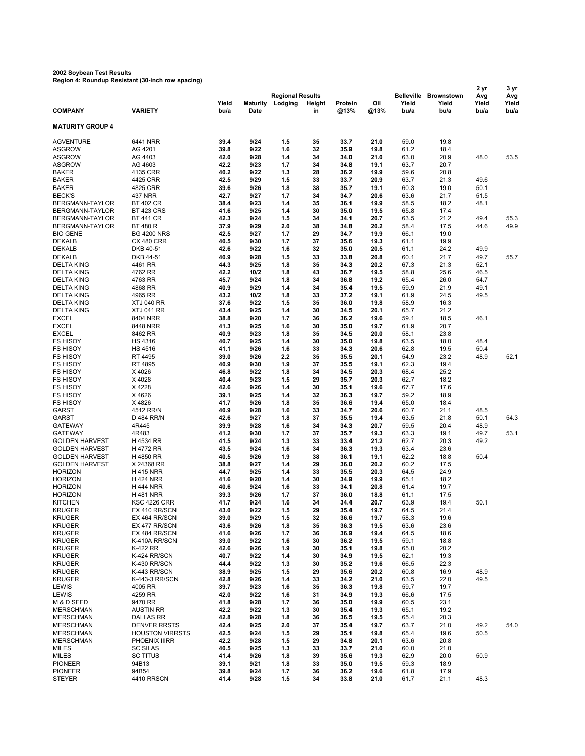## **2002 Soybean Test Results Region 4: Roundup Resistant (30-inch row spacing)**

|                         |                        |       |                 |                         |        |         |      | 2 yr              | 3 yr              |       |       |
|-------------------------|------------------------|-------|-----------------|-------------------------|--------|---------|------|-------------------|-------------------|-------|-------|
|                         |                        |       |                 | <b>Regional Results</b> |        |         |      | <b>Belleville</b> | <b>Brownstown</b> | Avg   | Avg   |
|                         |                        | Yield | <b>Maturity</b> | Lodging                 | Height | Protein | Oil  | Yield             | Yield             | Yield | Yield |
| <b>COMPANY</b>          | <b>VARIETY</b>         | bu/a  | Date            |                         | in     | @13%    | @13% | bu/a              | bu/a              | bu/a  | bu/a  |
|                         |                        |       |                 |                         |        |         |      |                   |                   |       |       |
| <b>MATURITY GROUP 4</b> |                        |       |                 |                         |        |         |      |                   |                   |       |       |
| <b>AGVENTURE</b>        | 6441 NRR               | 39.4  | 9/24            | 1.5                     | 35     | 33.7    | 21.0 | 59.0              | 19.8              |       |       |
| <b>ASGROW</b>           | AG 4201                | 39.8  | 9/22            | 1.6                     | 32     | 35.9    | 19.8 | 61.2              | 18.4              |       |       |
| <b>ASGROW</b>           | AG 4403                | 42.0  | 9/28            | 1.4                     | 34     | 34.0    | 21.0 | 63.0              | 20.9              | 48.0  | 53.5  |
| <b>ASGROW</b>           | AG 4603                | 42.2  | 9/23            | 1.7                     | 34     | 34.8    | 19.1 | 63.7              | 20.7              |       |       |
| <b>BAKER</b>            | 4135 CRR               | 40.2  | 9/22            | 1.3                     | 28     | 36.2    | 19.9 | 59.6              | 20.8              |       |       |
| <b>BAKER</b>            | 4425 CRR               | 42.5  | 9/29            | 1.5                     | 33     | 33.7    | 20.9 | 63.7              | 21.3              | 49.6  |       |
| <b>BAKER</b>            | 4825 CRR               | 39.6  | 9/26            | 1.8                     | 38     | 35.7    | 19.1 | 60.3              | 19.0              | 50.1  |       |
| <b>BECK'S</b>           | 437 NRR                | 42.7  | 9/27            | 1.7                     | 34     | 34.7    | 20.6 | 63.6              | 21.7              | 51.5  |       |
| BERGMANN-TAYLOR         | <b>BT 402 CR</b>       | 38.4  | 9/23            | 1.4                     | 35     | 36.1    | 19.9 | 58.5              | 18.2              | 48.1  |       |
| BERGMANN-TAYLOR         | <b>BT 423 CRS</b>      | 41.6  | 9/25            | 1.4                     | 30     | 35.0    | 19.5 | 65.8              | 17.4              |       |       |
| BERGMANN-TAYLOR         | <b>BT 441 CR</b>       | 42.3  | 9/24            | 1.5                     | 34     | 34.1    | 20.7 | 63.5              | 21.2              | 49.4  | 55.3  |
| BERGMANN-TAYLOR         | <b>BT 480 R</b>        | 37.9  | 9/29            | 2.0                     | 38     | 34.8    | 20.2 | 58.4              | 17.5              | 44.6  | 49.9  |
| <b>BIO GENE</b>         | <b>BG 4200 NRS</b>     | 42.5  | 9/27            | 1.7                     | 29     | 34.7    | 19.9 | 66.1              | 19.0              |       |       |
| <b>DEKALB</b>           | <b>CX 480 CRR</b>      | 40.5  | 9/30            | 1.7                     | 37     | 35.6    | 19.3 | 61.1              | 19.9              |       |       |
| <b>DEKALB</b>           | DKB 40-51              | 42.6  | 9/22            | 1.6                     | 32     | 35.0    | 20.5 | 61.1              | 24.2              | 49.9  |       |
| <b>DEKALB</b>           | DKB 44-51              | 40.9  | 9/28            | 1.5                     | 33     | 33.8    | 20.8 | 60.1              | 21.7              | 49.7  | 55.7  |
| <b>DELTA KING</b>       | 4461 RR                | 44.3  | 9/25            | 1.8                     | 35     | 34.3    | 20.2 | 67.3              | 21.3              | 52.1  |       |
| <b>DELTA KING</b>       | 4762 RR                | 42.2  | 10/2            | 1.8                     | 43     | 36.7    | 19.5 | 58.8              | 25.6              | 46.5  |       |
| <b>DELTA KING</b>       | 4763 RR                | 45.7  | 9/24            | 1.8                     | 34     | 36.8    | 19.2 | 65.4              | 26.0              | 54.7  |       |
| <b>DELTA KING</b>       | 4868 RR                | 40.9  | 9/29            | 1.4                     | 34     | 35.4    | 19.5 | 59.9              | 21.9              | 49.1  |       |
| <b>DELTA KING</b>       | 4965 RR                | 43.2  | 10/2            | 1.8                     | 33     | 37.2    | 19.1 | 61.9              | 24.5              | 49.5  |       |
| <b>DELTA KING</b>       | <b>XTJ 040 RR</b>      | 37.6  | 9/22            | 1.5                     | 35     | 36.0    | 19.8 | 58.9              | 16.3              |       |       |
| <b>DELTA KING</b>       | <b>XTJ 041 RR</b>      | 43.4  | 9/25            | 1.4                     | 30     | 34.5    | 20.1 | 65.7              | 21.2              |       |       |
| <b>EXCEL</b>            | 8404 NRR               | 38.8  | 9/20            | 1.7                     | 36     | 36.2    | 19.6 | 59.1              | 18.5              | 46.1  |       |
| <b>EXCEL</b>            | 8448 NRR               | 41.3  | 9/25            | 1.6                     | 30     | 35.0    | 19.7 | 61.9              | 20.7              |       |       |
| <b>EXCEL</b>            | 8462 RR                | 40.9  | 9/23            | 1.8                     | 35     | 34.5    | 20.0 | 58.1              | 23.8              |       |       |
| <b>FS HISOY</b>         | <b>HS 4316</b>         | 40.7  | 9/25            | 1.4                     | 30     | 35.0    | 19.8 | 63.5              | 18.0              | 48.4  |       |
| <b>FS HISOY</b>         | <b>HS 4516</b>         | 41.1  | 9/26            | 1.6                     | 33     | 34.3    | 20.6 | 62.8              | 19.5              | 50.4  |       |
| <b>FS HISOY</b>         | RT 4495                | 39.0  | 9/26            | 2.2                     | 35     | 35.5    | 20.1 | 54.9              | 23.2              | 48.9  | 52.1  |
| <b>FS HISOY</b>         | RT 4895                | 40.9  | 9/30            | 1.9                     | 37     | 35.5    | 19.1 | 62.3              | 19.4              |       |       |
| <b>FS HISOY</b>         |                        | 46.8  | 9/22            | 1.8                     | 34     | 34.5    | 20.3 | 68.4              |                   |       |       |
|                         | X4026<br>X 4028        | 40.4  | 9/23            | 1.5                     | 29     | 35.7    |      | 62.7              | 25.2<br>18.2      |       |       |
| <b>FS HISOY</b>         |                        |       |                 | 1.4                     |        |         | 20.3 |                   |                   |       |       |
| <b>FS HISOY</b>         | X4228                  | 42.6  | 9/26            |                         | 30     | 35.1    | 19.6 | 67.7              | 17.6              |       |       |
| <b>FS HISOY</b>         | X4626                  | 39.1  | 9/25            | 1.4                     | 32     | 36.3    | 19.7 | 59.2              | 18.9              |       |       |
| <b>FS HISOY</b>         | X4826                  | 41.7  | 9/26            | 1.8                     | 35     | 36.6    | 19.4 | 65.0              | 18.4              |       |       |
| <b>GARST</b>            | 4512 RR/N              | 40.9  | 9/28            | 1.6                     | 33     | 34.7    | 20.6 | 60.7              | 21.1              | 48.5  |       |
| <b>GARST</b>            | D 484 RR/N             | 42.6  | 9/27            | 1.8                     | 37     | 35.5    | 19.4 | 63.5              | 21.8              | 50.1  | 54.3  |
| <b>GATEWAY</b>          | 4R445                  | 39.9  | 9/28            | 1.6                     | 34     | 34.3    | 20.7 | 59.5              | 20.4              | 48.9  |       |
| <b>GATEWAY</b>          | 4R483                  | 41.2  | 9/30            | 1.7                     | 37     | 35.7    | 19.3 | 63.3              | 19.1              | 49.7  | 53.1  |
| <b>GOLDEN HARVEST</b>   | H 4534 RR              | 41.5  | 9/24            | 1.3                     | 33     | 33.4    | 21.2 | 62.7              | 20.3              | 49.2  |       |
| <b>GOLDEN HARVEST</b>   | H 4772 RR              | 43.5  | 9/24            | 1.6                     | 34     | 36.3    | 19.3 | 63.4              | 23.6              |       |       |
| <b>GOLDEN HARVEST</b>   | H 4850 RR              | 40.5  | 9/26            | 1.9                     | 38     | 36.1    | 19.1 | 62.2              | 18.8              | 50.4  |       |
| <b>GOLDEN HARVEST</b>   | X 24368 RR             | 38.8  | 9/27            | 1.4                     | 29     | 36.0    | 20.2 | 60.2              | 17.5              |       |       |
| <b>HORIZON</b>          | <b>H415 NRR</b>        | 44.7  | 9/25            | 1.4                     | 33     | 35.5    | 20.3 | 64.5              | 24.9              |       |       |
| <b>HORIZON</b>          | <b>H424 NRR</b>        | 41.6  | 9/20            | 1.4                     | 30     | 34.9    | 19.9 | 65.1              | 18.2              |       |       |
| <b>HORIZON</b>          | <b>H 444 NRR</b>       | 40.6  | 9/24            | 1.6                     | 33     | 34.1    | 20.8 | 61.4              | 19.7              |       |       |
| <b>HORIZON</b>          | <b>H481 NRR</b>        | 39.3  | 9/26            | 1.7                     | 37     | 36.0    | 18.8 | 61.1              | 17.5              |       |       |
| <b>KITCHEN</b>          | <b>KSC 4226 CRR</b>    | 41.7  | 9/24            | 1.6                     | 34     | 34.4    | 20.7 | 63.9              | 19.4              | 50.1  |       |
| <b>KRUGER</b>           | EX 410 RR/SCN          | 43.0  | 9/22            | 1.5                     | 29     | 35.4    | 19.7 | 64.5              | 21.4              |       |       |
| <b>KRUGER</b>           | EX 464 RR/SCN          | 39.0  | 9/29            | 1.5                     | 32     | 36.6    | 19.7 | 58.3              | 19.6              |       |       |
| <b>KRUGER</b>           | EX 477 RR/SCN          | 43.6  | 9/26            | 1.8                     | 35     | 36.3    | 19.5 | 63.6              | 23.6              |       |       |
| <b>KRUGER</b>           | EX 484 RR/SCN          | 41.6  | 9/26            | 1.7                     | 36     | 36.9    | 19.4 | 64.5              | 18.6              |       |       |
| <b>KRUGER</b>           | K-410A RR/SCN          | 39.0  | 9/22            | 1.6                     | 30     | 36.2    | 19.5 | 59.1              | 18.8              |       |       |
| <b>KRUGER</b>           | K-422 RR               | 42.6  | 9/26            | 1.9                     | 30     | 35.1    | 19.8 | 65.0              | 20.2              |       |       |
| <b>KRUGER</b>           | K-424 RR/SCN           | 40.7  | 9/22            | 1.4                     | 30     | 34.9    | 19.5 | 62.1              | 19.3              |       |       |
| <b>KRUGER</b>           | K-430 RR/SCN           | 44.4  | 9/22            | 1.3                     | 30     | 35.2    | 19.6 | 66.5              | 22.3              |       |       |
| <b>KRUGER</b>           | K-443 RR/SCN           | 38.9  | 9/25            | 1.5                     | 29     | 35.6    | 20.2 | 60.8              | 16.9              | 48.9  |       |
| <b>KRUGER</b>           | K-443-3 RR/SCN         | 42.8  | 9/26            | 1.4                     | 33     | 34.2    | 21.0 | 63.5              | 22.0              | 49.5  |       |
| LEWIS                   | 4005 RR                | 39.7  | 9/23            | 1.6                     | 35     | 36.3    | 19.8 | 59.7              | 19.7              |       |       |
| LEWIS                   | 4259 RR                | 42.0  | 9/22            | 1.6                     | 31     | 34.9    | 19.3 | 66.6              | 17.5              |       |       |
| M & D SEED              | 9470 RR                | 41.8  | 9/28            | 1.7                     | 36     | 35.0    | 19.9 | 60.5              | 23.1              |       |       |
| <b>MERSCHMAN</b>        | <b>AUSTIN RR</b>       | 42.2  | 9/22            | 1.3                     | 30     | 35.4    | 19.3 | 65.1              | 19.2              |       |       |
| <b>MERSCHMAN</b>        | DALLAS RR              | 42.8  | 9/28            | 1.8                     | 36     | 36.5    | 19.5 | 65.4              | 20.3              |       |       |
| <b>MERSCHMAN</b>        | <b>DENVER RRSTS</b>    | 42.4  | 9/25            | 2.0                     | 37     | 35.4    | 19.7 | 63.7              | 21.0              | 49.2  | 54.0  |
| MERSCHMAN               | <b>HOUSTON VIRRSTS</b> | 42.5  | 9/24            | 1.5                     | 29     | 35.1    | 19.8 | 65.4              | 19.6              | 50.5  |       |
| <b>MERSCHMAN</b>        | PHOENIX IIIRR          | 42.2  | 9/28            | 1.5                     | 29     | 34.8    | 20.1 | 63.6              | 20.8              |       |       |
| <b>MILES</b>            | <b>SC SILAS</b>        | 40.5  | 9/25            | 1.3                     | 33     | 33.7    | 21.0 | 60.0              | 21.0              |       |       |
| <b>MILES</b>            | <b>SC TITUS</b>        | 41.4  | 9/26            | 1.8                     | 39     | 35.6    | 19.3 | 62.9              | 20.0              | 50.9  |       |
| <b>PIONEER</b>          | 94B13                  | 39.1  | 9/21            | 1.8                     | 33     | 35.0    | 19.5 | 59.3              | 18.9              |       |       |
| <b>PIONEER</b>          | 94B54                  | 39.8  | 9/24            | 1.7                     | 36     | 36.2    | 19.6 | 61.8              | 17.9              |       |       |
| <b>STEYER</b>           | 4410 RRSCN             | 41.4  | 9/28            | 1.5                     | 34     | 33.8    | 21.0 | 61.7              | 21.1              | 48.3  |       |